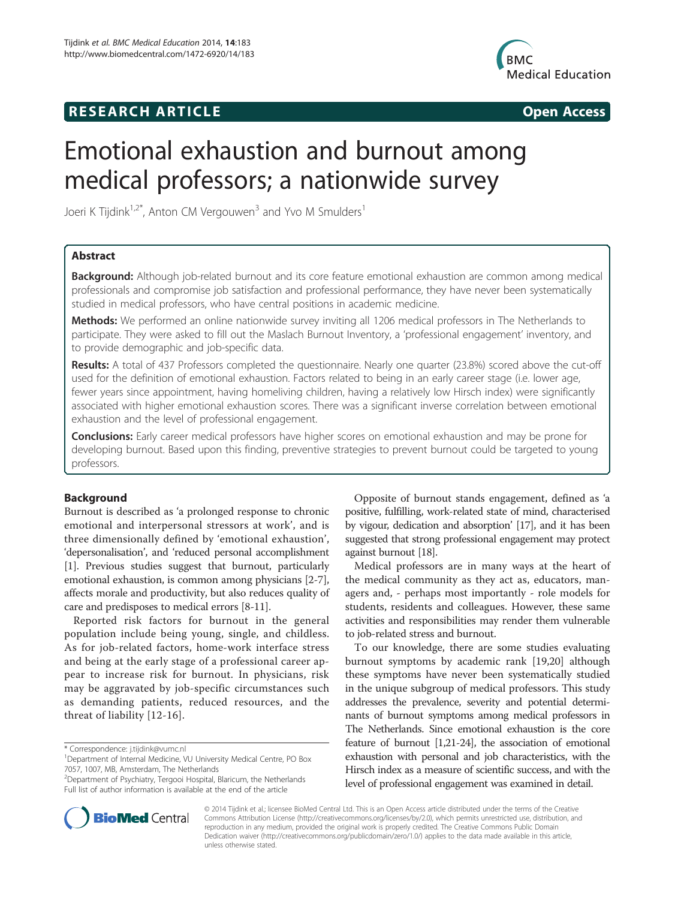# **RESEARCH ARTICLE Example 2014 CONSIDERING CONSIDERING CONSIDERING CONSIDERING CONSIDERING CONSIDERING CONSIDERING CONSIDERING CONSIDERING CONSIDERING CONSIDERING CONSIDERING CONSIDERING CONSIDERING CONSIDERING CONSIDE**



# Emotional exhaustion and burnout among medical professors; a nationwide survey

Joeri K Tijdink<sup>1,2\*</sup>, Anton CM Vergouwen<sup>3</sup> and Yvo M Smulders<sup>1</sup>

# Abstract

Background: Although job-related burnout and its core feature emotional exhaustion are common among medical professionals and compromise job satisfaction and professional performance, they have never been systematically studied in medical professors, who have central positions in academic medicine.

Methods: We performed an online nationwide survey inviting all 1206 medical professors in The Netherlands to participate. They were asked to fill out the Maslach Burnout Inventory, a 'professional engagement' inventory, and to provide demographic and job-specific data.

Results: A total of 437 Professors completed the questionnaire. Nearly one quarter (23.8%) scored above the cut-off used for the definition of emotional exhaustion. Factors related to being in an early career stage (i.e. lower age, fewer years since appointment, having homeliving children, having a relatively low Hirsch index) were significantly associated with higher emotional exhaustion scores. There was a significant inverse correlation between emotional exhaustion and the level of professional engagement.

**Conclusions:** Early career medical professors have higher scores on emotional exhaustion and may be prone for developing burnout. Based upon this finding, preventive strategies to prevent burnout could be targeted to young professors.

# Background

Burnout is described as 'a prolonged response to chronic emotional and interpersonal stressors at work', and is three dimensionally defined by 'emotional exhaustion', 'depersonalisation', and 'reduced personal accomplishment [[1\]](#page-6-0). Previous studies suggest that burnout, particularly emotional exhaustion, is common among physicians [\[2](#page-6-0)-[7](#page-6-0)], affects morale and productivity, but also reduces quality of care and predisposes to medical errors [\[8-11\]](#page-6-0).

Reported risk factors for burnout in the general population include being young, single, and childless. As for job-related factors, home-work interface stress and being at the early stage of a professional career appear to increase risk for burnout. In physicians, risk may be aggravated by job-specific circumstances such as demanding patients, reduced resources, and the threat of liability [[12](#page-6-0)-[16](#page-6-0)].

Opposite of burnout stands engagement, defined as 'a positive, fulfilling, work-related state of mind, characterised by vigour, dedication and absorption' [[17](#page-6-0)], and it has been suggested that strong professional engagement may protect against burnout [[18](#page-6-0)].

Medical professors are in many ways at the heart of the medical community as they act as, educators, managers and, - perhaps most importantly - role models for students, residents and colleagues. However, these same activities and responsibilities may render them vulnerable to job-related stress and burnout.

To our knowledge, there are some studies evaluating burnout symptoms by academic rank [[19,20\]](#page-6-0) although these symptoms have never been systematically studied in the unique subgroup of medical professors. This study addresses the prevalence, severity and potential determinants of burnout symptoms among medical professors in The Netherlands. Since emotional exhaustion is the core feature of burnout [[1,21-24](#page-6-0)], the association of emotional exhaustion with personal and job characteristics, with the Hirsch index as a measure of scientific success, and with the level of professional engagement was examined in detail.



© 2014 Tijdink et al.; licensee BioMed Central Ltd. This is an Open Access article distributed under the terms of the Creative Commons Attribution License [\(http://creativecommons.org/licenses/by/2.0\)](http://creativecommons.org/licenses/by/2.0), which permits unrestricted use, distribution, and reproduction in any medium, provided the original work is properly credited. The Creative Commons Public Domain Dedication waiver [\(http://creativecommons.org/publicdomain/zero/1.0/](http://creativecommons.org/publicdomain/zero/1.0/)) applies to the data made available in this article, unless otherwise stated.

<sup>\*</sup> Correspondence: [j.tijdink@vumc.nl](mailto:j.tijdink@vumc.nl) <sup>1</sup>

Department of Internal Medicine, VU University Medical Centre, PO Box 7057, 1007, MB, Amsterdam, The Netherlands

<sup>&</sup>lt;sup>2</sup>Department of Psychiatry, Tergooi Hospital, Blaricum, the Netherlands Full list of author information is available at the end of the article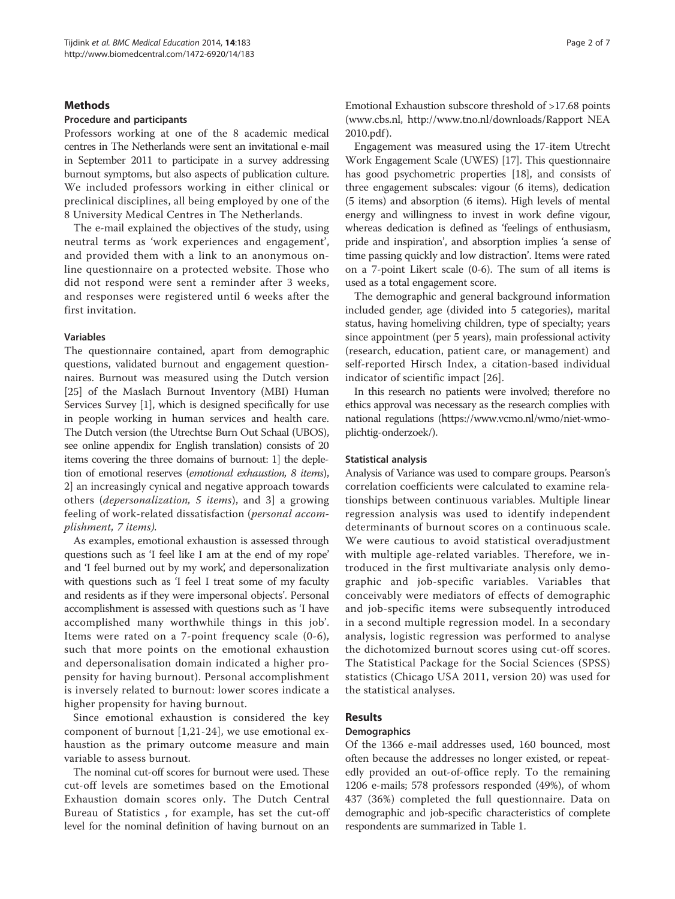# **Methods**

# Procedure and participants

Professors working at one of the 8 academic medical centres in The Netherlands were sent an invitational e-mail in September 2011 to participate in a survey addressing burnout symptoms, but also aspects of publication culture. We included professors working in either clinical or preclinical disciplines, all being employed by one of the 8 University Medical Centres in The Netherlands.

The e-mail explained the objectives of the study, using neutral terms as 'work experiences and engagement', and provided them with a link to an anonymous online questionnaire on a protected website. Those who did not respond were sent a reminder after 3 weeks, and responses were registered until 6 weeks after the first invitation.

# Variables

The questionnaire contained, apart from demographic questions, validated burnout and engagement questionnaires. Burnout was measured using the Dutch version [[25\]](#page-6-0) of the Maslach Burnout Inventory (MBI) Human Services Survey [\[1](#page-6-0)], which is designed specifically for use in people working in human services and health care. The Dutch version (the Utrechtse Burn Out Schaal (UBOS), see online appendix for English translation) consists of 20 items covering the three domains of burnout: 1] the depletion of emotional reserves (emotional exhaustion, 8 items), 2] an increasingly cynical and negative approach towards others (depersonalization, 5 items), and 3] a growing feeling of work-related dissatisfaction (personal accomplishment, 7 items).

As examples, emotional exhaustion is assessed through questions such as 'I feel like I am at the end of my rope' and 'I feel burned out by my work', and depersonalization with questions such as 'I feel I treat some of my faculty and residents as if they were impersonal objects'. Personal accomplishment is assessed with questions such as 'I have accomplished many worthwhile things in this job'. Items were rated on a 7-point frequency scale (0-6), such that more points on the emotional exhaustion and depersonalisation domain indicated a higher propensity for having burnout). Personal accomplishment is inversely related to burnout: lower scores indicate a higher propensity for having burnout.

Since emotional exhaustion is considered the key component of burnout [[1](#page-6-0),[21-24\]](#page-6-0), we use emotional exhaustion as the primary outcome measure and main variable to assess burnout.

The nominal cut-off scores for burnout were used. These cut-off levels are sometimes based on the Emotional Exhaustion domain scores only. The Dutch Central Bureau of Statistics , for example, has set the cut-off level for the nominal definition of having burnout on an

Emotional Exhaustion subscore threshold of >17.68 points ([www.cbs.nl](http://www.cbs.nl/),<http://www.tno.nl/downloads/Rapport> NEA  $2010.pdf$ ).

Engagement was measured using the 17-item Utrecht Work Engagement Scale (UWES) [\[17\]](#page-6-0). This questionnaire has good psychometric properties [[18](#page-6-0)], and consists of three engagement subscales: vigour (6 items), dedication (5 items) and absorption (6 items). High levels of mental energy and willingness to invest in work define vigour, whereas dedication is defined as 'feelings of enthusiasm, pride and inspiration', and absorption implies 'a sense of time passing quickly and low distraction'. Items were rated on a 7-point Likert scale (0-6). The sum of all items is used as a total engagement score.

The demographic and general background information included gender, age (divided into 5 categories), marital status, having homeliving children, type of specialty; years since appointment (per 5 years), main professional activity (research, education, patient care, or management) and self-reported Hirsch Index, a citation-based individual indicator of scientific impact [[26](#page-6-0)].

In this research no patients were involved; therefore no ethics approval was necessary as the research complies with national regulations ([https://www.vcmo.nl/wmo/niet-wmo](https://www.vcmo.nl/wmo/niet-wmo-plichtig-onderzoek/)[plichtig-onderzoek/](https://www.vcmo.nl/wmo/niet-wmo-plichtig-onderzoek/)).

## Statistical analysis

Analysis of Variance was used to compare groups. Pearson's correlation coefficients were calculated to examine relationships between continuous variables. Multiple linear regression analysis was used to identify independent determinants of burnout scores on a continuous scale. We were cautious to avoid statistical overadjustment with multiple age-related variables. Therefore, we introduced in the first multivariate analysis only demographic and job-specific variables. Variables that conceivably were mediators of effects of demographic and job-specific items were subsequently introduced in a second multiple regression model. In a secondary analysis, logistic regression was performed to analyse the dichotomized burnout scores using cut-off scores. The Statistical Package for the Social Sciences (SPSS) statistics (Chicago USA 2011, version 20) was used for the statistical analyses.

# Results

# Demographics

Of the 1366 e-mail addresses used, 160 bounced, most often because the addresses no longer existed, or repeatedly provided an out-of-office reply. To the remaining 1206 e-mails; 578 professors responded (49%), of whom 437 (36%) completed the full questionnaire. Data on demographic and job-specific characteristics of complete respondents are summarized in Table [1](#page-2-0).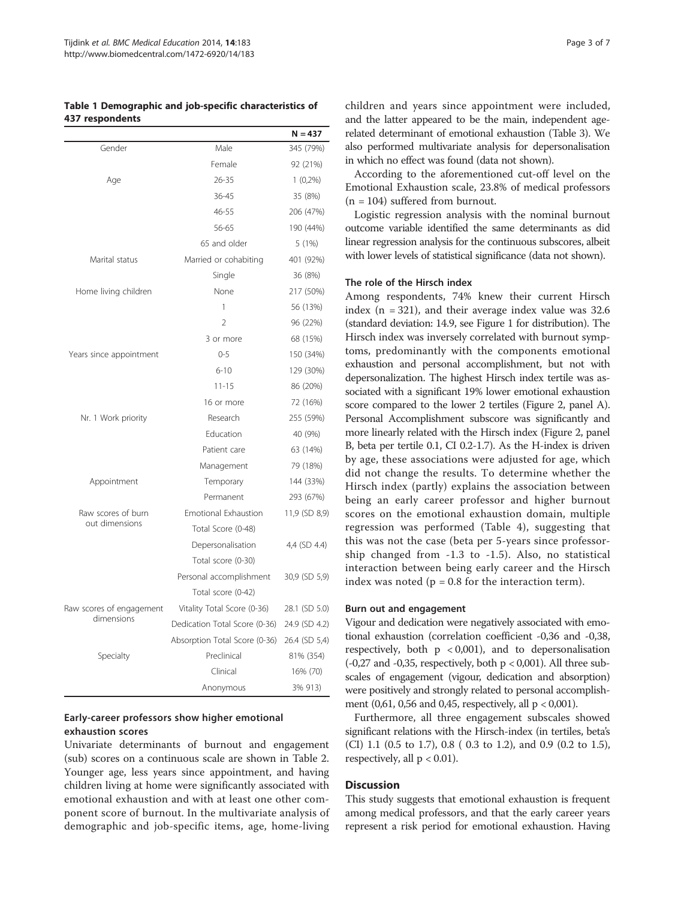<span id="page-2-0"></span>Table 1 Demographic and job-specific characteristics of 437 respondents

|                          |                               | $N = 437$     |
|--------------------------|-------------------------------|---------------|
| Gender                   | Male                          | 345 (79%)     |
|                          | Female                        | 92 (21%)      |
| Age                      | $26 - 35$                     | $1(0,2\%)$    |
|                          | 36-45                         | 35 (8%)       |
|                          | 46-55                         | 206 (47%)     |
|                          | 56-65                         | 190 (44%)     |
|                          | 65 and older                  | 5 (1%)        |
| Marital status           | Married or cohabiting         | 401 (92%)     |
|                          | Single                        | 36 (8%)       |
| Home living children     | None                          | 217 (50%)     |
|                          | 1                             | 56 (13%)      |
|                          | $\overline{2}$                | 96 (22%)      |
|                          | 3 or more                     | 68 (15%)      |
| Years since appointment  | $0 - 5$                       | 150 (34%)     |
|                          | $6 - 10$                      | 129 (30%)     |
|                          | $11 - 15$                     | 86 (20%)      |
|                          | 16 or more                    | 72 (16%)      |
| Nr. 1 Work priority      | Research                      | 255 (59%)     |
|                          | Education                     | 40 (9%)       |
|                          | Patient care                  | 63 (14%)      |
|                          | Management                    | 79 (18%)      |
| Appointment              | Temporary                     | 144 (33%)     |
|                          | Permanent                     | 293 (67%)     |
| Raw scores of burn       | Emotional Exhaustion          | 11,9 (SD 8,9) |
| out dimensions           | Total Score (0-48)            |               |
|                          | Depersonalisation             | 4,4 (SD 4.4)  |
|                          | Total score (0-30)            |               |
|                          | Personal accomplishment       | 30,9 (SD 5,9) |
|                          | Total score (0-42)            |               |
| Raw scores of engagement | Vitality Total Score (0-36)   | 28.1 (SD 5.0) |
| dimensions               | Dedication Total Score (0-36) | 24.9 (SD 4.2) |
|                          | Absorption Total Score (0-36) | 26.4 (SD 5,4) |
| Specialty                | Preclinical                   | 81% (354)     |
|                          | Clinical                      | 16% (70)      |
|                          | Anonymous                     | 3% 913)       |

# Early-career professors show higher emotional exhaustion scores

Univariate determinants of burnout and engagement (sub) scores on a continuous scale are shown in Table [2](#page-3-0). Younger age, less years since appointment, and having children living at home were significantly associated with emotional exhaustion and with at least one other component score of burnout. In the multivariate analysis of demographic and job-specific items, age, home-living

children and years since appointment were included, and the latter appeared to be the main, independent agerelated determinant of emotional exhaustion (Table [3](#page-3-0)). We also performed multivariate analysis for depersonalisation in which no effect was found (data not shown).

According to the aforementioned cut-off level on the Emotional Exhaustion scale, 23.8% of medical professors  $(n = 104)$  suffered from burnout.

Logistic regression analysis with the nominal burnout outcome variable identified the same determinants as did linear regression analysis for the continuous subscores, albeit with lower levels of statistical significance (data not shown).

# The role of the Hirsch index

Among respondents, 74% knew their current Hirsch index  $(n = 321)$ , and their average index value was 32.6 (standard deviation: 14.9, see Figure [1](#page-4-0) for distribution). The Hirsch index was inversely correlated with burnout symptoms, predominantly with the components emotional exhaustion and personal accomplishment, but not with depersonalization. The highest Hirsch index tertile was associated with a significant 19% lower emotional exhaustion score compared to the lower 2 tertiles (Figure [2,](#page-4-0) panel A). Personal Accomplishment subscore was significantly and more linearly related with the Hirsch index (Figure [2,](#page-4-0) panel B, beta per tertile 0.1, CI 0.2-1.7). As the H-index is driven by age, these associations were adjusted for age, which did not change the results. To determine whether the Hirsch index (partly) explains the association between being an early career professor and higher burnout scores on the emotional exhaustion domain, multiple regression was performed (Table [4](#page-5-0)), suggesting that this was not the case (beta per 5-years since professorship changed from -1.3 to -1.5). Also, no statistical interaction between being early career and the Hirsch index was noted ( $p = 0.8$  for the interaction term).

## Burn out and engagement

Vigour and dedication were negatively associated with emotional exhaustion (correlation coefficient -0,36 and -0,38, respectively, both  $p < 0,001$ , and to depersonalisation  $(-0.27$  and  $-0.35$ , respectively, both  $p < 0.001$ ). All three subscales of engagement (vigour, dedication and absorption) were positively and strongly related to personal accomplishment  $(0,61, 0,56, 0,45,$  respectively, all  $p < 0,001$ ).

Furthermore, all three engagement subscales showed significant relations with the Hirsch-index (in tertiles, beta's (CI) 1.1 (0.5 to 1.7), 0.8 ( 0.3 to 1.2), and 0.9 (0.2 to 1.5), respectively, all  $p < 0.01$ ).

# **Discussion**

This study suggests that emotional exhaustion is frequent among medical professors, and that the early career years represent a risk period for emotional exhaustion. Having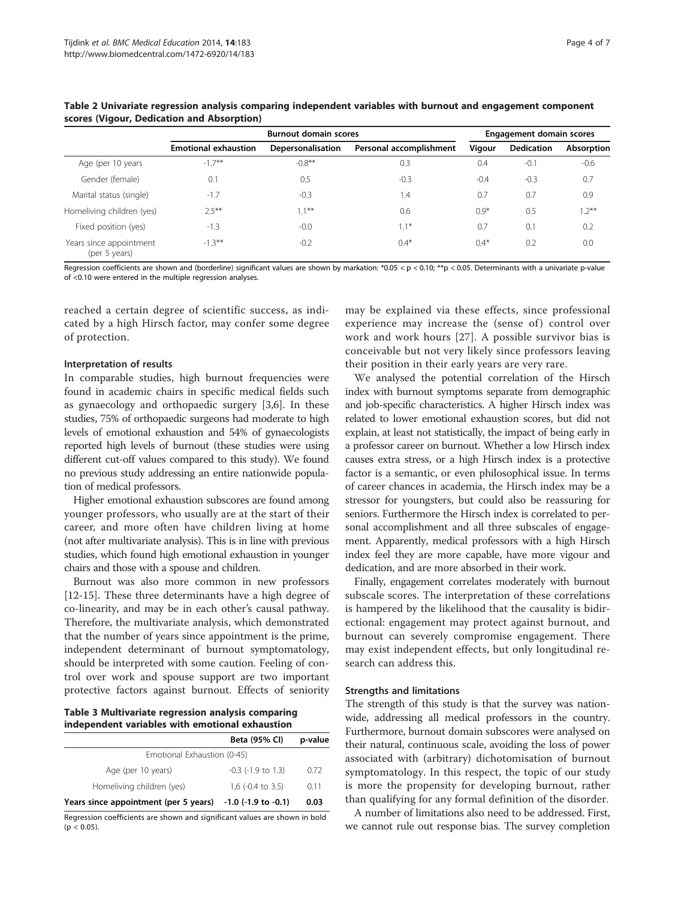|                                          | <b>Burnout domain scores</b> |                          |                         | <b>Engagement domain scores</b> |                   |            |
|------------------------------------------|------------------------------|--------------------------|-------------------------|---------------------------------|-------------------|------------|
|                                          | <b>Emotional exhaustion</b>  | <b>Depersonalisation</b> | Personal accomplishment | Viaour                          | <b>Dedication</b> | Absorption |
| Age (per 10 years                        | $-1.7***$                    | $-0.8***$                | 0.3                     | 0.4                             | $-0.1$            | $-0.6$     |
| Gender (female)                          | 0.1                          | 0.5                      | $-0.3$                  | $-0.4$                          | $-0.3$            | 0.7        |
| Marital status (single)                  | $-1.7$                       | $-0.3$                   | 1.4                     | 0.7                             | 0.7               | 0.9        |
| Homeliving children (yes)                | $2.5***$                     | $1.1***$                 | 0.6                     | $0.9*$                          | 0.5               | $1.2***$   |
| Fixed position (yes)                     | $-1.3$                       | $-0.0$                   | $1.1*$                  | 0.7                             | 0.1               | 0.2        |
| Years since appointment<br>(per 5 years) | $-1.3***$                    | $-0.2$                   | $0.4*$                  | $0.4*$                          | 0.2               | 0.0        |

<span id="page-3-0"></span>Table 2 Univariate regression analysis comparing independent variables with burnout and engagement component scores (Vigour, Dedication and Absorption)

Regression coefficients are shown and (borderline) significant values are shown by markation: \*0.05 < p < 0.10; \*\*p < 0.05. Determinants with a univariate p-value of <0.10 were entered in the multiple regression analyses.

reached a certain degree of scientific success, as indicated by a high Hirsch factor, may confer some degree of protection.

## Interpretation of results

In comparable studies, high burnout frequencies were found in academic chairs in specific medical fields such as gynaecology and orthopaedic surgery [\[3,6](#page-6-0)]. In these studies, 75% of orthopaedic surgeons had moderate to high levels of emotional exhaustion and 54% of gynaecologists reported high levels of burnout (these studies were using different cut-off values compared to this study). We found no previous study addressing an entire nationwide population of medical professors.

Higher emotional exhaustion subscores are found among younger professors, who usually are at the start of their career, and more often have children living at home (not after multivariate analysis). This is in line with previous studies, which found high emotional exhaustion in younger chairs and those with a spouse and children.

Burnout was also more common in new professors [[12-15](#page-6-0)]. These three determinants have a high degree of co-linearity, and may be in each other's causal pathway. Therefore, the multivariate analysis, which demonstrated that the number of years since appointment is the prime, independent determinant of burnout symptomatology, should be interpreted with some caution. Feeling of control over work and spouse support are two important protective factors against burnout. Effects of seniority

Table 3 Multivariate regression analysis comparing independent variables with emotional exhaustion

| Emotional Exhaustion (0-45)  |      |
|------------------------------|------|
|                              |      |
| $-0.3$ ( $-1.9$ to $1.3$ )   | 0.72 |
| 1.6 $(-0.4 \text{ to } 3.5)$ | 0.11 |
| $-1.0$ ( $-1.9$ to $-0.1$ )  | 0.03 |
|                              |      |

Regression coefficients are shown and significant values are shown in bold  $(p < 0.05)$ .

may be explained via these effects, since professional experience may increase the (sense of) control over work and work hours [[27](#page-6-0)]. A possible survivor bias is conceivable but not very likely since professors leaving their position in their early years are very rare.

We analysed the potential correlation of the Hirsch index with burnout symptoms separate from demographic and job-specific characteristics. A higher Hirsch index was related to lower emotional exhaustion scores, but did not explain, at least not statistically, the impact of being early in a professor career on burnout. Whether a low Hirsch index causes extra stress, or a high Hirsch index is a protective factor is a semantic, or even philosophical issue. In terms of career chances in academia, the Hirsch index may be a stressor for youngsters, but could also be reassuring for seniors. Furthermore the Hirsch index is correlated to personal accomplishment and all three subscales of engagement. Apparently, medical professors with a high Hirsch index feel they are more capable, have more vigour and dedication, and are more absorbed in their work.

Finally, engagement correlates moderately with burnout subscale scores. The interpretation of these correlations is hampered by the likelihood that the causality is bidirectional: engagement may protect against burnout, and burnout can severely compromise engagement. There may exist independent effects, but only longitudinal research can address this.

## Strengths and limitations

The strength of this study is that the survey was nationwide, addressing all medical professors in the country. Furthermore, burnout domain subscores were analysed on their natural, continuous scale, avoiding the loss of power associated with (arbitrary) dichotomisation of burnout symptomatology. In this respect, the topic of our study is more the propensity for developing burnout, rather than qualifying for any formal definition of the disorder.

A number of limitations also need to be addressed. First, we cannot rule out response bias. The survey completion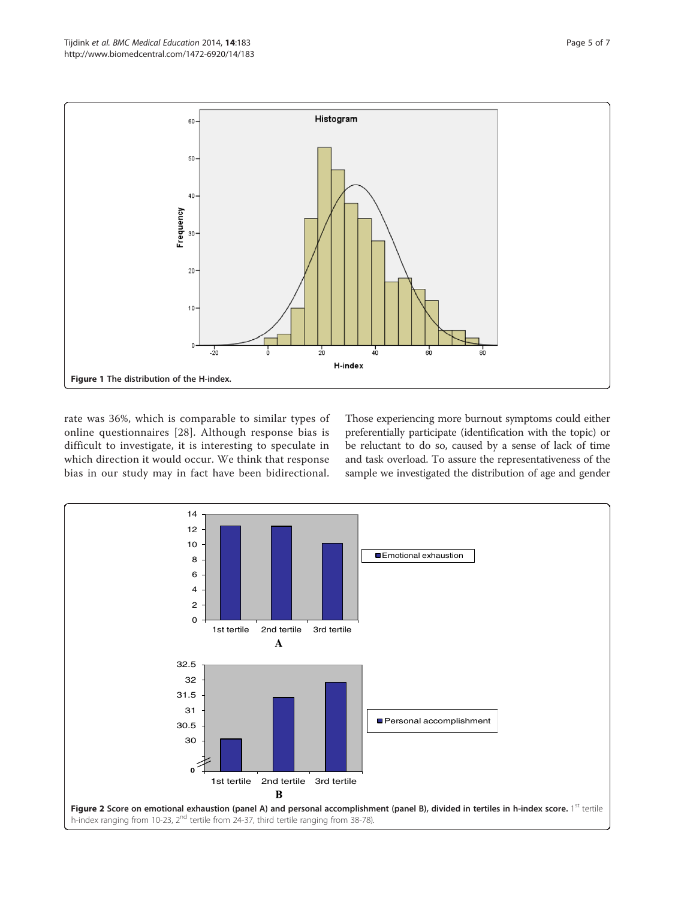<span id="page-4-0"></span>

rate was 36%, which is comparable to similar types of online questionnaires [[28](#page-6-0)]. Although response bias is difficult to investigate, it is interesting to speculate in which direction it would occur. We think that response bias in our study may in fact have been bidirectional.

Those experiencing more burnout symptoms could either preferentially participate (identification with the topic) or be reluctant to do so, caused by a sense of lack of time and task overload. To assure the representativeness of the sample we investigated the distribution of age and gender

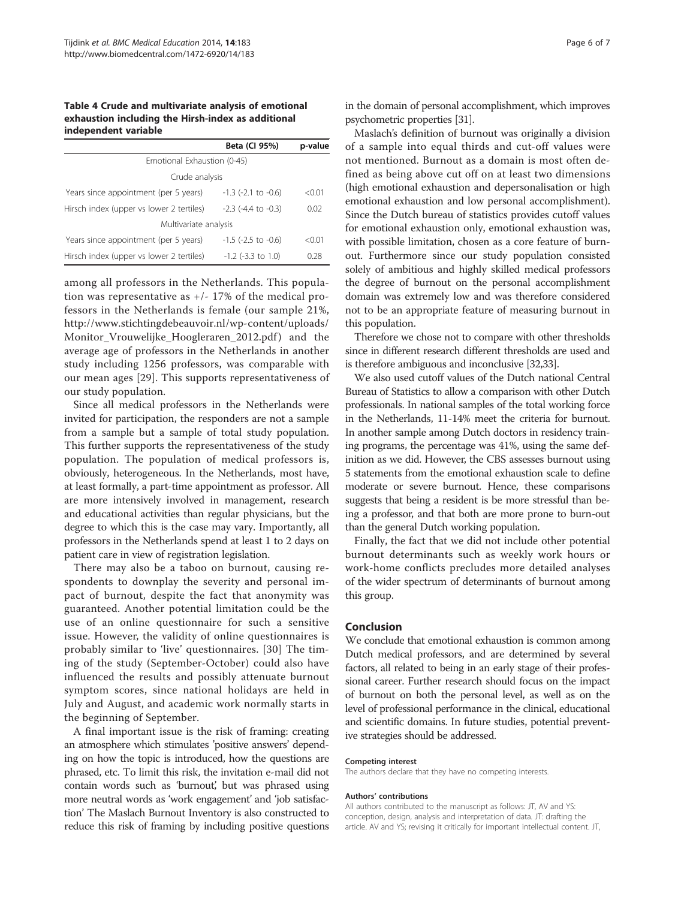<span id="page-5-0"></span>Table 4 Crude and multivariate analysis of emotional exhaustion including the Hirsh-index as additional independent variable

|                                          | Beta (CI 95%)               | p-value |  |  |
|------------------------------------------|-----------------------------|---------|--|--|
| Emotional Exhaustion (0-45)              |                             |         |  |  |
| Crude analysis                           |                             |         |  |  |
| Years since appointment (per 5 years)    | $-1.3$ ( $-2.1$ to $-0.6$ ) | < 0.01  |  |  |
| Hirsch index (upper vs lower 2 tertiles) | $-2.3$ (-4.4 to -0.3)       | 0.02    |  |  |
| Multivariate analysis                    |                             |         |  |  |
| Years since appointment (per 5 years)    | $-1.5$ ( $-2.5$ to $-0.6$ ) | < 0.01  |  |  |
| Hirsch index (upper vs lower 2 tertiles) | $-1.2$ ( $-3.3$ to $1.0$ )  | 0.28    |  |  |

among all professors in the Netherlands. This population was representative as  $+/- 17\%$  of the medical professors in the Netherlands is female (our sample 21%, [http://www.stichtingdebeauvoir.nl/wp-content/uploads/](http://www.stichtingdebeauvoir.nl/wp-content/uploads/Monitor_Vrouwelijke_Hoogleraren_2012.pdf) [Monitor\\_Vrouwelijke\\_Hoogleraren\\_2012.pdf](http://www.stichtingdebeauvoir.nl/wp-content/uploads/Monitor_Vrouwelijke_Hoogleraren_2012.pdf) ) and the average age of professors in the Netherlands in another study including 1256 professors, was comparable with our mean ages [[29\]](#page-6-0). This supports representativeness of our study population.

Since all medical professors in the Netherlands were invited for participation, the responders are not a sample from a sample but a sample of total study population. This further supports the representativeness of the study population. The population of medical professors is, obviously, heterogeneous. In the Netherlands, most have, at least formally, a part-time appointment as professor. All are more intensively involved in management, research and educational activities than regular physicians, but the degree to which this is the case may vary. Importantly, all professors in the Netherlands spend at least 1 to 2 days on patient care in view of registration legislation.

There may also be a taboo on burnout, causing respondents to downplay the severity and personal impact of burnout, despite the fact that anonymity was guaranteed. Another potential limitation could be the use of an online questionnaire for such a sensitive issue. However, the validity of online questionnaires is probably similar to 'live' questionnaires. [\[30\]](#page-6-0) The timing of the study (September-October) could also have influenced the results and possibly attenuate burnout symptom scores, since national holidays are held in July and August, and academic work normally starts in the beginning of September.

A final important issue is the risk of framing: creating an atmosphere which stimulates 'positive answers' depending on how the topic is introduced, how the questions are phrased, etc. To limit this risk, the invitation e-mail did not contain words such as 'burnout', but was phrased using more neutral words as 'work engagement' and 'job satisfaction' The Maslach Burnout Inventory is also constructed to reduce this risk of framing by including positive questions in the domain of personal accomplishment, which improves psychometric properties [\[31\]](#page-6-0).

Maslach's definition of burnout was originally a division of a sample into equal thirds and cut-off values were not mentioned. Burnout as a domain is most often defined as being above cut off on at least two dimensions (high emotional exhaustion and depersonalisation or high emotional exhaustion and low personal accomplishment). Since the Dutch bureau of statistics provides cutoff values for emotional exhaustion only, emotional exhaustion was, with possible limitation, chosen as a core feature of burnout. Furthermore since our study population consisted solely of ambitious and highly skilled medical professors the degree of burnout on the personal accomplishment domain was extremely low and was therefore considered not to be an appropriate feature of measuring burnout in this population.

Therefore we chose not to compare with other thresholds since in different research different thresholds are used and is therefore ambiguous and inconclusive [[32,33](#page-6-0)].

We also used cutoff values of the Dutch national Central Bureau of Statistics to allow a comparison with other Dutch professionals. In national samples of the total working force in the Netherlands, 11-14% meet the criteria for burnout. In another sample among Dutch doctors in residency training programs, the percentage was 41%, using the same definition as we did. However, the CBS assesses burnout using 5 statements from the emotional exhaustion scale to define moderate or severe burnout. Hence, these comparisons suggests that being a resident is be more stressful than being a professor, and that both are more prone to burn-out than the general Dutch working population.

Finally, the fact that we did not include other potential burnout determinants such as weekly work hours or work-home conflicts precludes more detailed analyses of the wider spectrum of determinants of burnout among this group.

# Conclusion

We conclude that emotional exhaustion is common among Dutch medical professors, and are determined by several factors, all related to being in an early stage of their professional career. Further research should focus on the impact of burnout on both the personal level, as well as on the level of professional performance in the clinical, educational and scientific domains. In future studies, potential preventive strategies should be addressed.

#### Competing interest

The authors declare that they have no competing interests.

#### Authors' contributions

All authors contributed to the manuscript as follows: JT, AV and YS: conception, design, analysis and interpretation of data. JT: drafting the article. AV and YS; revising it critically for important intellectual content. JT,